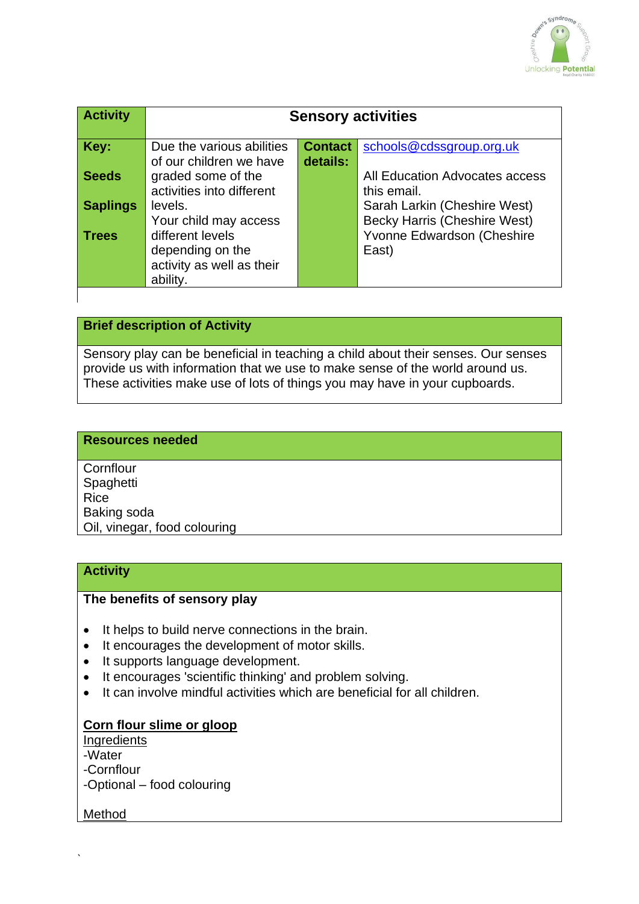

| <b>Activity</b> | <b>Sensory activities</b>                                                                  |                            |                                                                            |
|-----------------|--------------------------------------------------------------------------------------------|----------------------------|----------------------------------------------------------------------------|
| Key:            | Due the various abilities<br>of our children we have                                       | <b>Contact</b><br>details: | schools@cdssgroup.org.uk                                                   |
| <b>Seeds</b>    | graded some of the<br>activities into different                                            |                            | All Education Advocates access<br>this email.                              |
| <b>Saplings</b> | levels.                                                                                    |                            | Sarah Larkin (Cheshire West)                                               |
| <b>Trees</b>    | Your child may access<br>different levels<br>depending on the<br>activity as well as their |                            | <b>Becky Harris (Cheshire West)</b><br>Yvonne Edwardson (Cheshire<br>East) |
|                 | ability.                                                                                   |                            |                                                                            |

## **Brief description of Activity**

Sensory play can be beneficial in teaching a child about their senses. Our senses provide us with information that we use to make sense of the world around us. These activities make use of lots of things you may have in your cupboards.

#### **Resources needed**

**Cornflour Spaghetti** Rice Baking soda Oil, vinegar, food colouring

#### **Activity**

#### **The benefits of sensory play**

- It helps to build nerve connections in the brain.
- It encourages the development of motor skills.
- It supports language development.
- It encourages 'scientific thinking' and problem solving.
- It can involve mindful activities which are beneficial for all children.

#### **Corn flour slime or gloop**

**Ingredients** 

-Water

-Cornflour

-Optional – food colouring

Method

`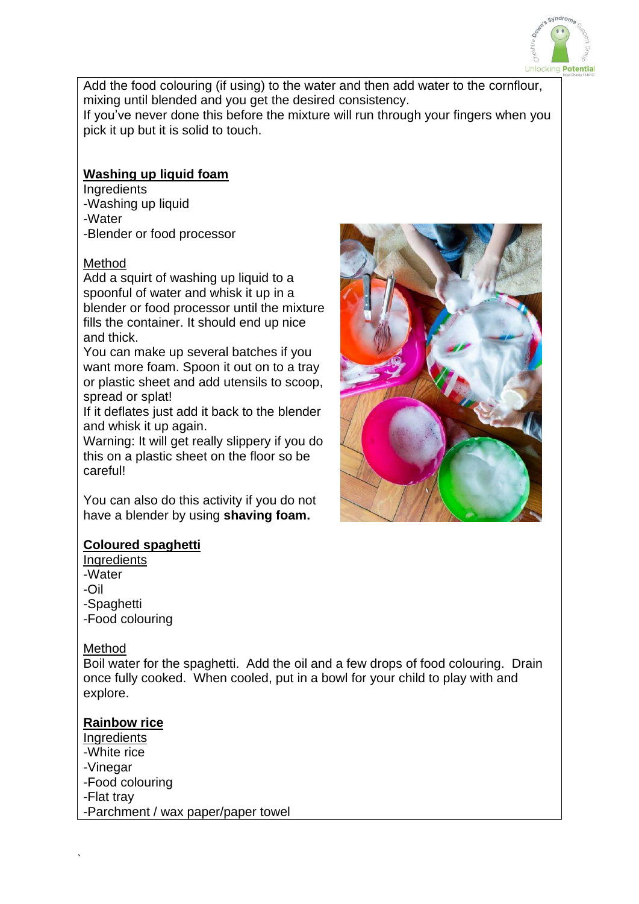

Add the food colouring (if using) to the water and then add water to the cornflour, mixing until blended and you get the desired consistency.

If you've never done this before the mixture will run through your fingers when you pick it up but it is solid to touch.

## **Washing up liquid foam**

**Ingredients** -Washing up liquid -Water -Blender or food processor

## Method

Add a squirt of washing up liquid to a spoonful of water and whisk it up in a blender or food processor until the mixture fills the container. It should end up nice and thick.

You can make up several batches if you want more foam. Spoon it out on to a tray or plastic sheet and add utensils to scoop, spread or splat!

If it deflates just add it back to the blender and whisk it up again.

Warning: It will get really slippery if you do this on a plastic sheet on the floor so be careful!

You can also do this activity if you do not have a blender by using **shaving foam.**

## **Coloured spaghetti**

**Ingredients** -Water -Oil -Spaghetti -Food colouring

#### Method

`

Boil water for the spaghetti. Add the oil and a few drops of food colouring. Drain once fully cooked. When cooled, put in a bowl for your child to play with and explore.

## **Rainbow rice**

**Ingredients** -White rice -Vinegar -Food colouring -Flat tray -Parchment / wax paper/paper towel

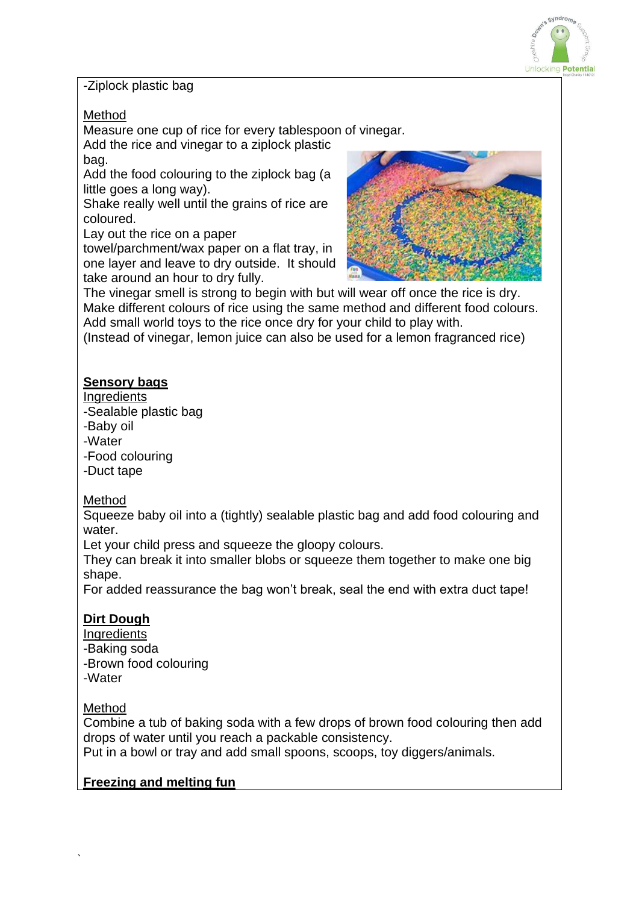

#### -Ziplock plastic bag

### Method

Measure one cup of rice for every tablespoon of vinegar. Add the rice and vinegar to a ziplock plastic

bag.

Add the food colouring to the ziplock bag (a little goes a long way).

Shake really well until the grains of rice are coloured.

Lay out the rice on a paper

towel/parchment/wax paper on a flat tray, in one layer and leave to dry outside. It should take around an hour to dry fully.



The vinegar smell is strong to begin with but will wear off once the rice is dry. Make different colours of rice using the same method and different food colours. Add small world toys to the rice once dry for your child to play with.

(Instead of vinegar, lemon juice can also be used for a lemon fragranced rice)

# **Sensory bags**

#### **Ingredients**

- -Sealable plastic bag
- -Baby oil
- -Water
- -Food colouring
- -Duct tape

## Method

Squeeze baby oil into a (tightly) sealable plastic bag and add food colouring and water.

Let your child press and squeeze the gloopy colours.

They can break it into smaller blobs or squeeze them together to make one big shape.

For added reassurance the bag won't break, seal the end with extra duct tape!

# **Dirt Dough**

- **Ingredients** -Baking soda -Brown food colouring -Water
- 

## Method

`

Combine a tub of baking soda with a few drops of brown food colouring then add drops of water until you reach a packable consistency.

Put in a bowl or tray and add small spoons, scoops, toy diggers/animals.

## **Freezing and melting fun**